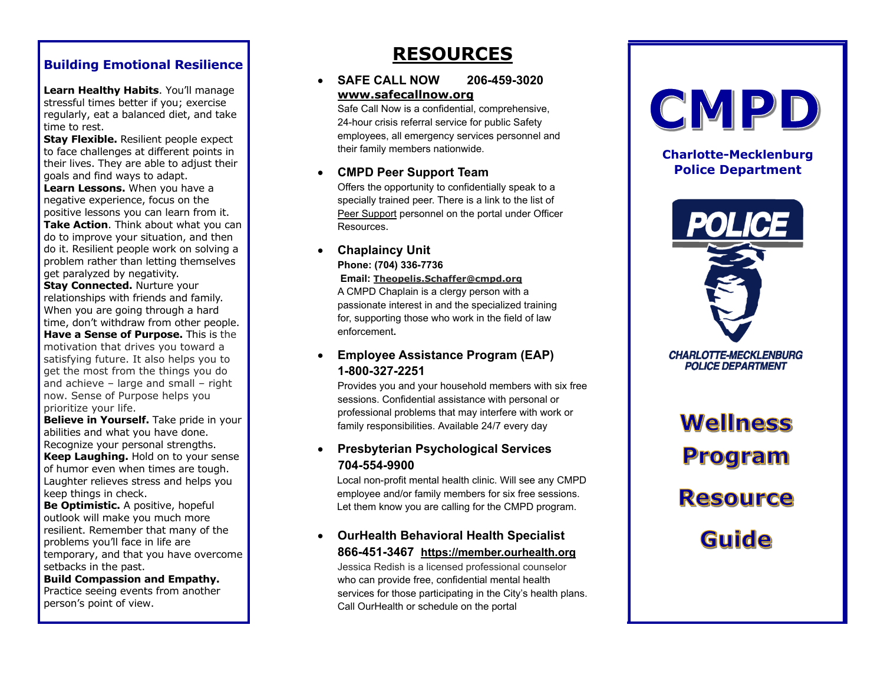# **Building Emotional Resilience**

**Learn [Healthy Habits](https://www.webmd.com/fitness-exercise/remember-healthy-habits)**. You'll manage stressful times better if you; [exercise](https://www.webmd.com/fitness-exercise/default.htm) regularly, eat a [balanced diet](https://www.webmd.com/diet/default.htm) , and take time to rest.

**Stay Flexible.** Resilient people expect to face challenges at different points in their lives. They are able to adjust their goals and find ways to adapt.

**Learn Lessons.** When you have a negative experience, focus on the positive lessons you can learn from it. **Take Action**. Think about what you can do to improve your situation, and then do it. Resilient people work on solving a problem rather than letting themselves

get paralyzed by negativity. **Stay Connected. Nurture your** [relationships](https://www.webmd.com/sex-relationships/rm-quiz-sex-fact-fiction) with friends and family. When you are going through a hard time, don't withdraw from other people. **Have a Sense of Purpose.** This is the motivation that drives you toward a satisfying future. It also helps you to get the most from the things you do and achieve – large and small – right now. Sense of Purpose helps you prioritize your life.

**Believe in Yourself.** Take pride in your abilities and what you have done. Recognize your personal strengths. **Keep Laughing.** Hold on to your sense of humor even when times are tough. Laughter relieves stress and helps you keep things in check.

**Be Optimistic.** A positive, hopeful outlook will make you much more resilient. Remember that many of the problems you'll face in life are temporary, and that you have overcome setbacks in the past .

**Build Compassion and Empathy.**  Practice seeing events from another person's point of view.

# **RESOURCES**

#### **SAFE CALL NOW -3020 [www.safecallnow.org](http://www.safecallnow.org/)**

Safe Call Now is a confidential, comprehensive, 24 -hour crisis referral service for public Safety employees, all emergency services personnel and their family members nationwide.

#### • **CMPD Peer Support Team**

Offers the opportunity to confidentially speak to a specially trained peer. There is a link to the list of [Peer Support](https://cmpdweb/sites/ss/support/Community%20Wellness/Shared%20Documents/PeerSupport_On-Callrotation.pdf) personnel on the portal under Officer Resou rces .

#### • **Chaplaincy Unit Phone: (704) 336 -7736**

#### **Email: Theopelis.Schaffer@cmpd.org**

A CMPD Chaplain is a clergy person with a passionate interest in and the specialized training for, supporting those who work in the field of law enforcement**.** 

#### • **Employee Assistance Program (EAP) 1-800-327-2251**

Provides you and your household members with six free sessions. Confidential assistance with personal or professional problems that may interfere with work or family responsibilities. Available 24/ 7 every day

## • **Presbyterian Psychological Services 704 -554 -9900**

 Local non -profit mental health clinic. Will see any CMPD employee and/or family members for six free sessions. Let them know you are calling for the CMPD program.

#### • **OurHealth Behavioral Health Specialist 866 -451 -3467 [https://member.ourhealth.org](https://member.ourhealth.org/)**

Jessica Redish is a licensed professional counselor who can provide free, confidential mental health services for those participating in the City's health plans. Call OurHealth or schedule on the portal



# **Charlotte -Mecklenburg Police Department**



**CHARLOTTE-MECKLENBURG POLICE DEPARTMENT** 

**Wellness Program Resource** Guide